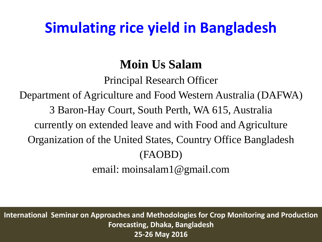# **Simulating rice yield in Bangladesh**

## **Moin Us Salam**

Principal Research Officer

Department of Agriculture and Food Western Australia (DAFWA)

3 Baron-Hay Court, South Perth, WA 615, Australia

currently on extended leave and with Food and Agriculture

Organization of the United States, Country Office Bangladesh

#### (FAOBD)

email: moinsalam1@gmail.com

**International Seminar on Approaches and Methodologies for Crop Monitoring and Production Forecasting, Dhaka, Bangladesh 25-26 May 2016**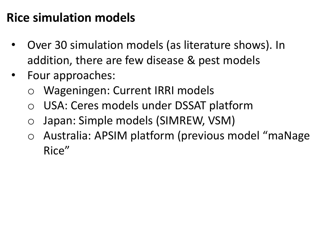#### **Rice simulation models**

- Over 30 simulation models (as literature shows). In addition, there are few disease & pest models
- Four approaches:
	- o Wageningen: Current IRRI models
	- o USA: Ceres models under DSSAT platform
	- o Japan: Simple models (SIMREW, VSM)
	- o Australia: APSIM platform (previous model "maNage Rice"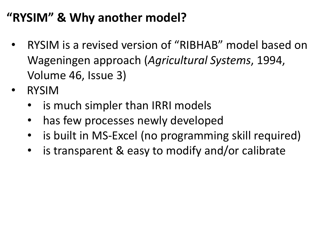## **"RYSIM" & Why another model?**

- RYSIM is a revised version of "RIBHAB" model based on Wageningen approach (*Agricultural Systems*, 1994, Volume 46, Issue 3)
- RYSIM
	- is much simpler than IRRI models
	- has few processes newly developed
	- is built in MS-Excel (no programming skill required)
	- is transparent & easy to modify and/or calibrate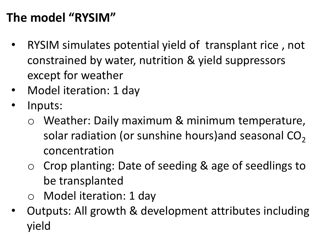## **The model "RYSIM"**

- RYSIM simulates potential yield of transplant rice , not constrained by water, nutrition & yield suppressors except for weather
- Model iteration: 1 day
- Inputs:
	- o Weather: Daily maximum & minimum temperature, solar radiation (or sunshine hours) and seasonal  $CO<sub>2</sub>$ concentration
	- o Crop planting: Date of seeding & age of seedlings to be transplanted
	- o Model iteration: 1 day
- Outputs: All growth & development attributes including yield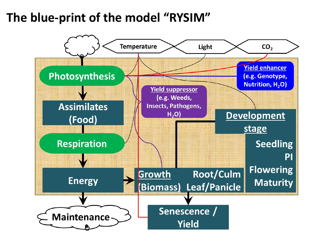#### **The blue-print of the model "RYSIM"**

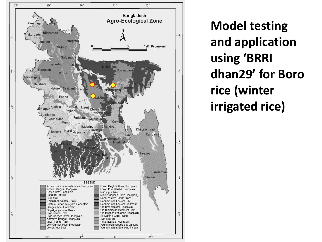

**Model testing and application using 'BRRI dhan29' for Boro rice (winter irrigated rice)**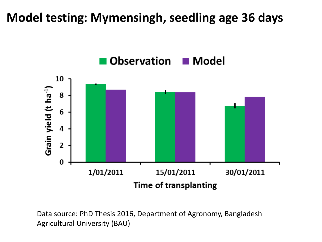#### **Model testing: Mymensingh, seedling age 36 days**



Data source: PhD Thesis 2016, Department of Agronomy, Bangladesh Agricultural University (BAU)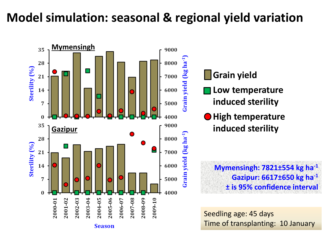## **Model simulation: seasonal & regional yield variation**



#### **Grain yield**

- **Low temperature induced sterility**
- **High temperature induced sterility**

**Mymensingh: 7821±554 kg ha-1 Gazipur: 6617±650 kg ha-1 ± is 95% confidence interval**

Seedling age: 45 days Time of transplanting: 10 January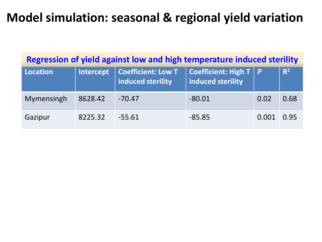### **Model simulation: seasonal & regional yield variation**

| Regression of yield against low and high temperature induced sterility |           |                                         |                                                       |       |       |  |  |  |  |  |  |
|------------------------------------------------------------------------|-----------|-----------------------------------------|-------------------------------------------------------|-------|-------|--|--|--|--|--|--|
| <b>Location</b>                                                        | Intercept | Coefficient: Low T<br>induced sterility | <b>Coefficient: High T</b> $ P $<br>induced sterility |       | $R^2$ |  |  |  |  |  |  |
| Mymensingh                                                             | 8628.42   | $-70.47$                                | $-80.01$                                              | 0.02  | 0.68  |  |  |  |  |  |  |
| Gazipur                                                                | 8225.32   | $-55.61$                                | $-85.85$                                              | 0.001 | 0.95  |  |  |  |  |  |  |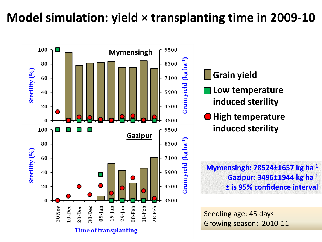### **Model simulation: yield × transplanting time in 2009-10**



**Grain yield**

- **Low temperature induced sterility**
- **High temperature induced sterility**

**Mymensingh: 78524±1657 kg ha-1 Gazipur: 3496±1944 kg ha-1 ± is 95% confidence interval**

Seedling age: 45 days Growing season: 2010-11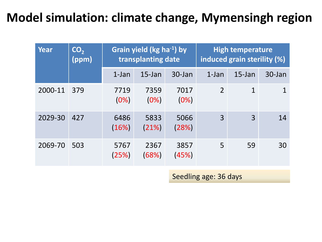### **Model simulation: climate change, Mymensingh region**

| Year    | CO <sub>2</sub><br>(ppm) | Grain yield ( $kg$ ha <sup>-1</sup> ) by<br>transplanting date |               |               | <b>High temperature</b><br>induced grain sterility (%) |              |        |
|---------|--------------------------|----------------------------------------------------------------|---------------|---------------|--------------------------------------------------------|--------------|--------|
|         |                          | $1$ -Jan                                                       | $15$ -Jan     | 30-Jan        | $1$ -Jan                                               | $15$ -Jan    | 30-Jan |
| 2000-11 | 379                      | 7719<br>(0%)                                                   | 7359<br>(0%)  | 7017<br>(0%)  | $\overline{2}$                                         | $\mathbf{1}$ |        |
| 2029-30 | 427                      | 6486<br>(16%)                                                  | 5833<br>(21%) | 5066<br>(28%) | $\overline{3}$                                         | 3            | 14     |
| 2069-70 | 503                      | 5767<br>(25%)                                                  | 2367<br>(68%) | 3857<br>(45%) | 5                                                      | 59           | 30     |

Seedling age: 36 days